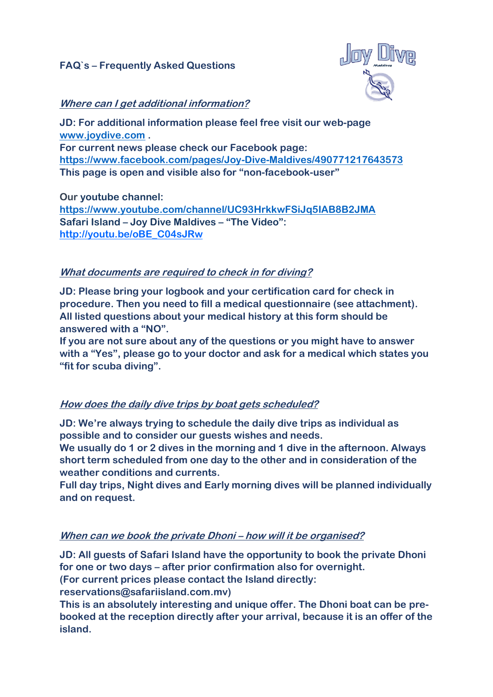# **FAQ`s – Frequently Asked Questions**



# **Where can I get additional information?**

**JD: For additional information please feel free visit our web-page [www.joydive.com](http://www.joydive.com/) . For current news please check our Facebook page: <https://www.facebook.com/pages/Joy-Dive-Maldives/490771217643573> This page is open and visible also for "non-facebook-user"**

**Our youtube channel: <https://www.youtube.com/channel/UC93HrkkwFSiJq5IAB8B2JMA> Safari Island – Joy Dive Maldives – "The Video": [http://youtu.be/oBE\\_C04sJRw](http://youtu.be/oBE_C04sJRw)**

#### **What documents are required to check in for diving?**

**JD: Please bring your logbook and your certification card for check in procedure. Then you need to fill a medical questionnaire (see attachment). All listed questions about your medical history at this form should be answered with a "NO".** 

**If you are not sure about any of the questions or you might have to answer with a "Yes", please go to your doctor and ask for a medical which states you "fit for scuba diving".**

#### **How does the daily dive trips by boat gets scheduled?**

**JD: We're always trying to schedule the daily dive trips as individual as possible and to consider our guests wishes and needs.** 

**We usually do 1 or 2 dives in the morning and 1 dive in the afternoon. Always short term scheduled from one day to the other and in consideration of the weather conditions and currents.** 

**Full day trips, Night dives and Early morning dives will be planned individually and on request.**

#### **When can we book the private Dhoni – how will it be organised?**

**JD: All guests of Safari Island have the opportunity to book the private Dhoni for one or two days – after prior confirmation also for overnight. (For current prices please contact the Island directly: reservations@safariisland.com.mv)**

**This is an absolutely interesting and unique offer. The Dhoni boat can be prebooked at the reception directly after your arrival, because it is an offer of the island.**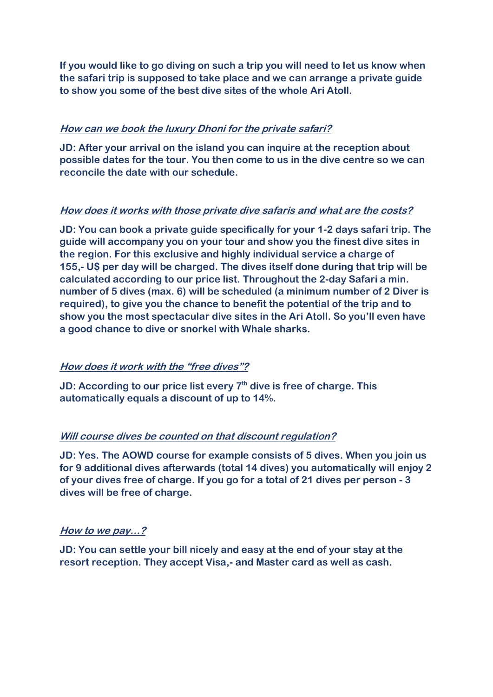**If you would like to go diving on such a trip you will need to let us know when the safari trip is supposed to take place and we can arrange a private guide to show you some of the best dive sites of the whole Ari Atoll.**

# **How can we book the luxury Dhoni for the private safari?**

**JD: After your arrival on the island you can inquire at the reception about possible dates for the tour. You then come to us in the dive centre so we can reconcile the date with our schedule.**

# **How does it works with those private dive safaris and what are the costs?**

**JD: You can book a private guide specifically for your 1-2 days safari trip. The guide will accompany you on your tour and show you the finest dive sites in the region. For this exclusive and highly individual service a charge of 155,- U\$ per day will be charged. The dives itself done during that trip will be calculated according to our price list. Throughout the 2-day Safari a min. number of 5 dives (max. 6) will be scheduled (a minimum number of 2 Diver is required), to give you the chance to benefit the potential of the trip and to show you the most spectacular dive sites in the Ari Atoll. So you'll even have a good chance to dive or snorkel with Whale sharks.**

# **How does it work with the "free dives"?**

**JD:** According to our price list every 7<sup>th</sup> dive is free of charge. This **automatically equals a discount of up to 14%.**

# **Will course dives be counted on that discount regulation?**

**JD: Yes. The AOWD course for example consists of 5 dives. When you join us for 9 additional dives afterwards (total 14 dives) you automatically will enjoy 2 of your dives free of charge. If you go for a total of 21 dives per person - 3 dives will be free of charge.**

# **How to we pay…?**

**JD: You can settle your bill nicely and easy at the end of your stay at the resort reception. They accept Visa,- and Master card as well as cash.**